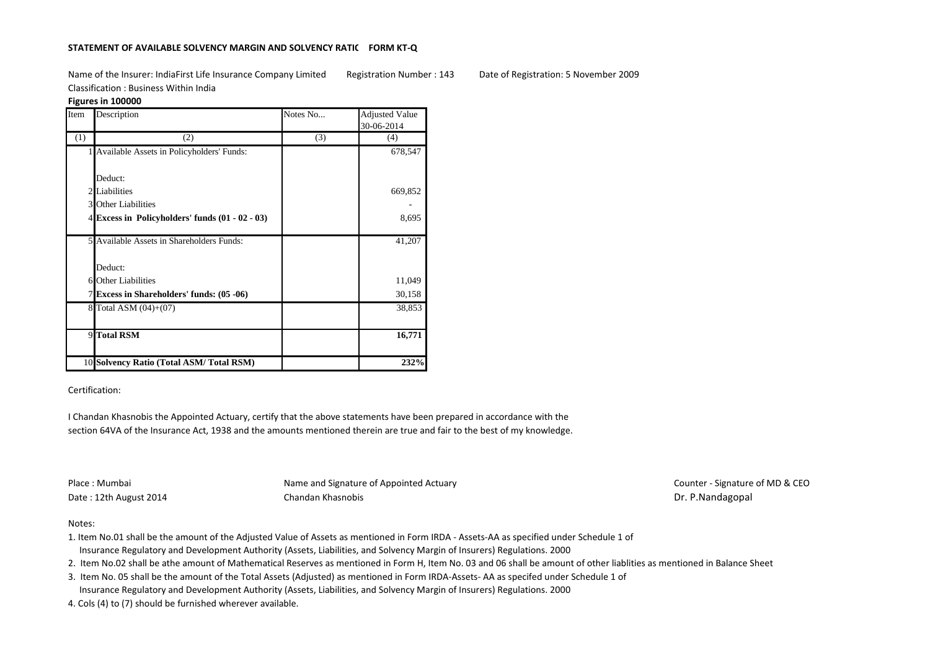# **STATEMENT OF AVAILABLE SOLVENCY MARGIN AND SOLVENCY RATIO FORM KT-Q**

Name of the Insurer: IndiaFirst Life Insurance Company Limited Registration Number : 143 Date of Registration: 5 November 2009 Classification : Business Within India

## **Figures in 100000**

| Item | Description                                       | Notes No | <b>Adjusted Value</b> |
|------|---------------------------------------------------|----------|-----------------------|
|      |                                                   |          | 30-06-2014            |
| (1)  | (2)                                               | (3)      | (4)                   |
|      | 1 Available Assets in Policyholders' Funds:       |          | 678,547               |
|      |                                                   |          |                       |
|      | Deduct:                                           |          |                       |
|      | 2 Liabilities                                     |          | 669,852               |
|      | 3 Other Liabilities                               |          |                       |
|      | 4 Excess in Policyholders' funds $(01 - 02 - 03)$ |          | 8,695                 |
|      |                                                   |          |                       |
|      | 5 Available Assets in Shareholders Funds:         |          | 41,207                |
|      |                                                   |          |                       |
|      | Deduct:                                           |          |                       |
|      | 6 Other Liabilities                               |          | 11,049                |
|      | 7 Excess in Shareholders' funds: (05 -06)         |          | 30,158                |
|      | 8 Total ASM (04)+(07)                             |          | 38,853                |
|      |                                                   |          |                       |
|      | 9 Total RSM                                       |          | 16,771                |
|      |                                                   |          |                       |
|      | 10 Solvency Ratio (Total ASM/Total RSM)           |          | 232%                  |

## Certification:

I Chandan Khasnobis the Appointed Actuary, certify that the above statements have been prepared in accordance with the section 64VA of the Insurance Act, 1938 and the amounts mentioned therein are true and fair to the best of my knowledge.

Place : Mumbai Name and Signature of Appointed Actuary Name and Signature of Appointed Actuary Counter - Signature of MD & CEO Date : 12th August 2014 **Chandan Khasnobis** Chandan Khasnobis Dr. P.Nandagopal

### Notes:

- 1. Item No.01 shall be the amount of the Adjusted Value of Assets as mentioned in Form IRDA Assets-AA as specified under Schedule 1 of Insurance Regulatory and Development Authority (Assets, Liabilities, and Solvency Margin of Insurers) Regulations. 2000
- 2. Item No.02 shall be athe amount of Mathematical Reserves as mentioned in Form H, Item No. 03 and 06 shall be amount of other liablities as mentioned in Balance Sheet
- 3. Item No. 05 shall be the amount of the Total Assets (Adjusted) as mentioned in Form IRDA-Assets- AA as specifed under Schedule 1 of Insurance Regulatory and Development Authority (Assets, Liabilities, and Solvency Margin of Insurers) Regulations. 2000
- 4. Cols (4) to (7) should be furnished wherever available.